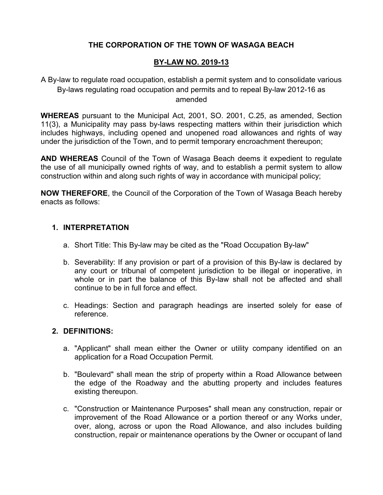# **THE CORPORATION OF THE TOWN OF WASAGA BEACH**

### **BY-LAW NO. 2019-13**

A By-law to regulate road occupation, establish a permit system and to consolidate various By-laws regulating road occupation and permits and to repeal By-law 2012-16 as amended

**WHEREAS** pursuant to the Municipal Act, 2001, SO. 2001, C.25, as amended, Section 11(3), a Municipality may pass by-laws respecting matters within their jurisdiction which includes highways, including opened and unopened road allowances and rights of way under the jurisdiction of the Town, and to permit temporary encroachment thereupon;

**AND WHEREAS** Council of the Town of Wasaga Beach deems it expedient to regulate the use of all municipally owned rights of way, and to establish a permit system to allow construction within and along such rights of way in accordance with municipal policy;

**NOW THEREFORE**, the Council of the Corporation of the Town of Wasaga Beach hereby enacts as follows:

### **1. INTERPRETATION**

- a. Short Title: This By-law may be cited as the "Road Occupation By-law"
- b. Severability: If any provision or part of a provision of this By-law is declared by any court or tribunal of competent jurisdiction to be illegal or inoperative, in whole or in part the balance of this By-law shall not be affected and shall continue to be in full force and effect.
- c. Headings: Section and paragraph headings are inserted solely for ease of reference.

### **2. DEFINITIONS:**

- a. "Applicant" shall mean either the Owner or utility company identified on an application for a Road Occupation Permit.
- b. "Boulevard" shall mean the strip of property within a Road Allowance between the edge of the Roadway and the abutting property and includes features existing thereupon.
- c. "Construction or Maintenance Purposes" shall mean any construction, repair or improvement of the Road Allowance or a portion thereof or any Works under, over, along, across or upon the Road Allowance, and also includes building construction, repair or maintenance operations by the Owner or occupant of land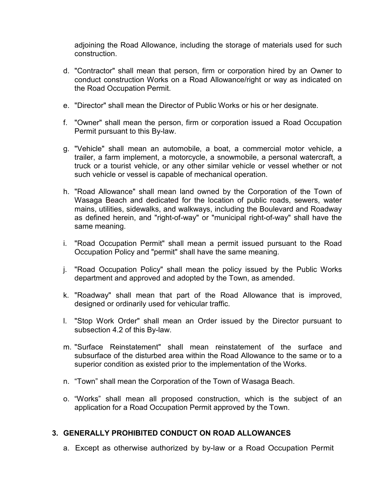adjoining the Road Allowance, including the storage of materials used for such construction.

- d. "Contractor" shall mean that person, firm or corporation hired by an Owner to conduct construction Works on a Road Allowance/right or way as indicated on the Road Occupation Permit.
- e. "Director" shall mean the Director of Public Works or his or her designate.
- f. "Owner" shall mean the person, firm or corporation issued a Road Occupation Permit pursuant to this By-law.
- g. "Vehicle" shall mean an automobile, a boat, a commercial motor vehicle, a trailer, a farm implement, a motorcycle, a snowmobile, a personal watercraft, a truck or a tourist vehicle, or any other similar vehicle or vessel whether or not such vehicle or vessel is capable of mechanical operation.
- h. "Road Allowance" shall mean land owned by the Corporation of the Town of Wasaga Beach and dedicated for the location of public roads, sewers, water mains, utilities, sidewalks, and walkways, including the Boulevard and Roadway as defined herein, and "right-of-way" or "municipal right-of-way" shall have the same meaning.
- i. "Road Occupation Permit" shall mean a permit issued pursuant to the Road Occupation Policy and "permit" shall have the same meaning.
- j. "Road Occupation Policy" shall mean the policy issued by the Public Works department and approved and adopted by the Town, as amended.
- k. "Roadway" shall mean that part of the Road Allowance that is improved, designed or ordinarily used for vehicular traffic.
- l. "Stop Work Order" shall mean an Order issued by the Director pursuant to subsection 4.2 of this By-law.
- m. "Surface Reinstatement" shall mean reinstatement of the surface and subsurface of the disturbed area within the Road Allowance to the same or to a superior condition as existed prior to the implementation of the Works.
- n. "Town" shall mean the Corporation of the Town of Wasaga Beach.
- o. "Works" shall mean all proposed construction, which is the subject of an application for a Road Occupation Permit approved by the Town.

### **3. GENERALLY PROHIBITED CONDUCT ON ROAD ALLOWANCES**

a. Except as otherwise authorized by by-law or a Road Occupation Permit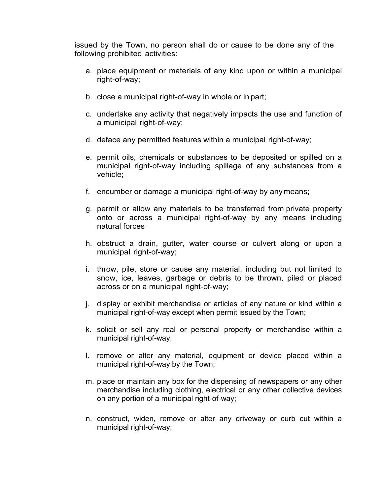issued by the Town, no person shall do or cause to be done any of the following prohibited activities:

- a. place equipment or materials of any kind upon or within a municipal right-of-way;
- b. close a municipal right-of-way in whole or in part;
- c. undertake any activity that negatively impacts the use and function of a municipal right-of-way;
- d. deface any permitted features within a municipal right-of-way;
- e. permit oils, chemicals or substances to be deposited or spilled on a municipal right-of-way including spillage of any substances from a vehicle;
- f. encumber or damage a municipal right-of-way by any means;
- g. permit or allow any materials to be transferred from private property onto or across a municipal right-of-way by any means including natural forces·
- h. obstruct a drain, gutter, water course or culvert along or upon a municipal right-of-way;
- i. throw, pile, store or cause any material, including but not limited to snow, ice, leaves, garbage or debris to be thrown, piled or placed across or on a municipal right-of-way;
- j. display or exhibit merchandise or articles of any nature or kind within a municipal right-of-way except when permit issued by the Town;
- k. solicit or sell any real or personal property or merchandise within a municipal right-of-way;
- l. remove or alter any material, equipment or device placed within a municipal right-of-way by the Town;
- m. place or maintain any box for the dispensing of newspapers or any other merchandise including clothing, electrical or any other collective devices on any portion of a municipal right-of-way;
- n. construct, widen, remove or alter any driveway or curb cut within a municipal right-of-way;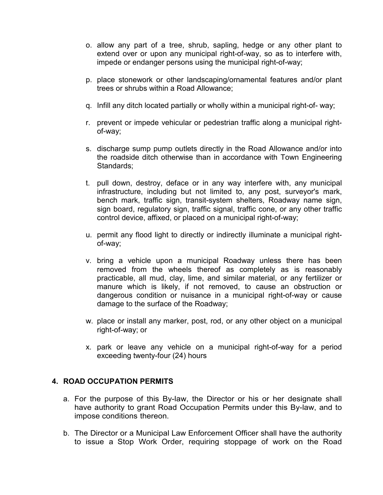- o. allow any part of a tree, shrub, sapling, hedge or any other plant to extend over or upon any municipal right-of-way, so as to interfere with, impede or endanger persons using the municipal right-of-way;
- p. place stonework or other landscaping/ornamental features and/or plant trees or shrubs within a Road Allowance;
- q. Infill any ditch located partially or wholly within a municipal right-of- way;
- r. prevent or impede vehicular or pedestrian traffic along a municipal rightof-way;
- s. discharge sump pump outlets directly in the Road Allowance and/or into the roadside ditch otherwise than in accordance with Town Engineering Standards;
- t. pull down, destroy, deface or in any way interfere with, any municipal infrastructure, including but not limited to, any post, surveyor's mark, bench mark, traffic sign, transit-system shelters, Roadway name sign, sign board, regulatory sign, traffic signal, traffic cone, or any other traffic control device, affixed, or placed on a municipal right-of-way;
- u. permit any flood light to directly or indirectly illuminate a municipal rightof-way;
- v. bring a vehicle upon a municipal Roadway unless there has been removed from the wheels thereof as completely as is reasonably practicable, all mud, clay, lime, and similar material, or any fertilizer or manure which is likely, if not removed, to cause an obstruction or dangerous condition or nuisance in a municipal right-of-way or cause damage to the surface of the Roadway;
- w. place or install any marker, post, rod, or any other object on a municipal right-of-way; or
- x. park or leave any vehicle on a municipal right-of-way for a period exceeding twenty-four (24) hours

### **4. ROAD OCCUPATION PERMITS**

- a. For the purpose of this By-law, the Director or his or her designate shall have authority to grant Road Occupation Permits under this By-law, and to impose conditions thereon.
- b. The Director or a Municipal Law Enforcement Officer shall have the authority to issue a Stop Work Order, requiring stoppage of work on the Road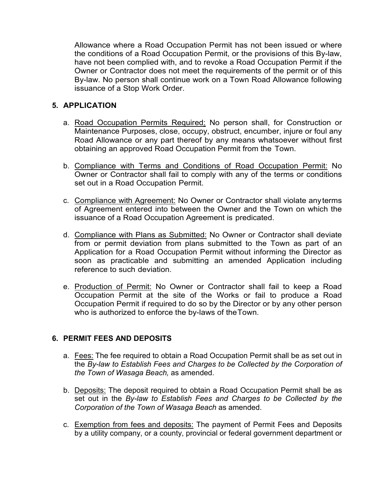Allowance where a Road Occupation Permit has not been issued or where the conditions of a Road Occupation Permit, or the provisions of this By-law, have not been complied with, and to revoke a Road Occupation Permit if the Owner or Contractor does not meet the requirements of the permit or of this By-law. No person shall continue work on a Town Road Allowance following issuance of a Stop Work Order.

### **5. APPLICATION**

- a. Road Occupation Permits Required: No person shall, for Construction or Maintenance Purposes, close, occupy, obstruct, encumber, injure or foul any Road Allowance or any part thereof by any means whatsoever without first obtaining an approved Road Occupation Permit from the Town.
- b. Compliance with Terms and Conditions of Road Occupation Permit: No Owner or Contractor shall fail to comply with any of the terms or conditions set out in a Road Occupation Permit.
- c. Compliance with Agreement: No Owner or Contractor shall violate anyterms of Agreement entered into between the Owner and the Town on which the issuance of a Road Occupation Agreement is predicated.
- d. Compliance with Plans as Submitted: No Owner or Contractor shall deviate from or permit deviation from plans submitted to the Town as part of an Application for a Road Occupation Permit without informing the Director as soon as practicable and submitting an amended Application including reference to such deviation.
- e. Production of Permit: No Owner or Contractor shall fail to keep a Road Occupation Permit at the site of the Works or fail to produce a Road Occupation Permit if required to do so by the Director or by any other person who is authorized to enforce the by-laws of theTown.

### **6. PERMIT FEES AND DEPOSITS**

- a. Fees: The fee required to obtain a Road Occupation Permit shall be as set out in the *By-law to Establish Fees and Charges to be Collected by the Corporation of the Town of Wasaga Beach,* as amended.
- b. Deposits: The deposit required to obtain a Road Occupation Permit shall be as set out in the *By-law to Establish Fees and Charges to be Collected by the Corporation of the Town of Wasaga Beach* as amended.
- c. Exemption from fees and deposits: The payment of Permit Fees and Deposits by a utility company, or a county, provincial or federal government department or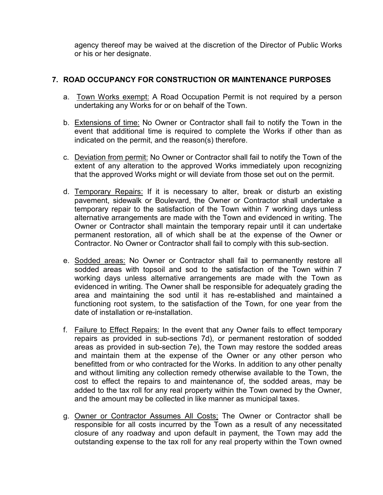agency thereof may be waived at the discretion of the Director of Public Works or his or her designate.

# **7. ROAD OCCUPANCY FOR CONSTRUCTION OR MAINTENANCE PURPOSES**

- a. Town Works exempt: A Road Occupation Permit is not required by a person undertaking any Works for or on behalf of the Town.
- b. Extensions of time: No Owner or Contractor shall fail to notify the Town in the event that additional time is required to complete the Works if other than as indicated on the permit, and the reason(s) therefore.
- c. Deviation from permit: No Owner or Contractor shall fail to notify the Town of the extent of any alteration to the approved Works immediately upon recognizing that the approved Works might or will deviate from those set out on the permit.
- d. Temporary Repairs: If it is necessary to alter, break or disturb an existing pavement, sidewalk or Boulevard, the Owner or Contractor shall undertake a temporary repair to the satisfaction of the Town within 7 working days unless alternative arrangements are made with the Town and evidenced in writing. The Owner or Contractor shall maintain the temporary repair until it can undertake permanent restoration, all of which shall be at the expense of the Owner or Contractor. No Owner or Contractor shall fail to comply with this sub-section.
- e. Sodded areas: No Owner or Contractor shall fail to permanently restore all sodded areas with topsoil and sod to the satisfaction of the Town within 7 working days unless alternative arrangements are made with the Town as evidenced in writing. The Owner shall be responsible for adequately grading the area and maintaining the sod until it has re-established and maintained a functioning root system, to the satisfaction of the Town, for one year from the date of installation or re-installation.
- f. Failure to Effect Repairs: In the event that any Owner fails to effect temporary repairs as provided in sub-sections 7d), or permanent restoration of sodded areas as provided in sub-section 7e), the Town may restore the sodded areas and maintain them at the expense of the Owner or any other person who benefitted from or who contracted for the Works. In addition to any other penalty and without limiting any collection remedy otherwise available to the Town, the cost to effect the repairs to and maintenance of, the sodded areas, may be added to the tax roll for any real property within the Town owned by the Owner, and the amount may be collected in like manner as municipal taxes.
- g. Owner or Contractor Assumes All Costs: The Owner or Contractor shall be responsible for all costs incurred by the Town as a result of any necessitated closure of any roadway and upon default in payment, the Town may add the outstanding expense to the tax roll for any real property within the Town owned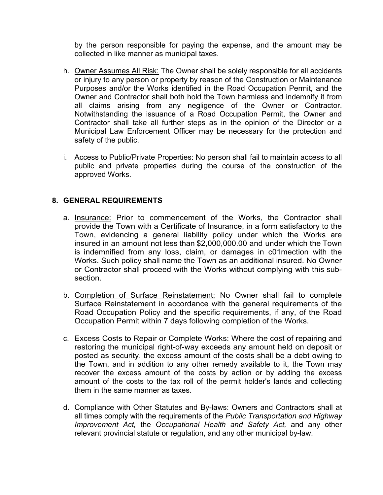by the person responsible for paying the expense, and the amount may be collected in like manner as municipal taxes.

- h. Owner Assumes All Risk: The Owner shall be solely responsible for all accidents or injury to any person or property by reason of the Construction or Maintenance Purposes and/or the Works identified in the Road Occupation Permit, and the Owner and Contractor shall both hold the Town harmless and indemnify it from all claims arising from any negligence of the Owner or Contractor. Notwithstanding the issuance of a Road Occupation Permit, the Owner and Contractor shall take all further steps as in the opinion of the Director or a Municipal Law Enforcement Officer may be necessary for the protection and safety of the public.
- i. Access to Public/Private Properties: No person shall fail to maintain access to all public and private properties during the course of the construction of the approved Works.

## **8. GENERAL REQUIREMENTS**

- a. Insurance: Prior to commencement of the Works, the Contractor shall provide the Town with a Certificate of Insurance, in a form satisfactory to the Town, evidencing a general liability policy under which the Works are insured in an amount not less than \$2,000,000.00 and under which the Town is indemnified from any loss, claim, or damages in c01mection with the Works. Such policy shall name the Town as an additional insured. No Owner or Contractor shall proceed with the Works without complying with this subsection.
- b. Completion of Surface Reinstatement: No Owner shall fail to complete Surface Reinstatement in accordance with the general requirements of the Road Occupation Policy and the specific requirements, if any, of the Road Occupation Permit within 7 days following completion of the Works.
- c. Excess Costs to Repair or Complete Works: Where the cost of repairing and restoring the municipal right-of-way exceeds any amount held on deposit or posted as security, the excess amount of the costs shall be a debt owing to the Town, and in addition to any other remedy available to it, the Town may recover the excess amount of the costs by action or by adding the excess amount of the costs to the tax roll of the permit holder's lands and collecting them in the same manner as taxes.
- d. Compliance with Other Statutes and By-laws: Owners and Contractors shall at all times comply with the requirements of the *Public Transportation and Highway Improvement Act,* the *Occupational Health and Safety Act,* and any other relevant provincial statute or regulation, and any other municipal by-law.